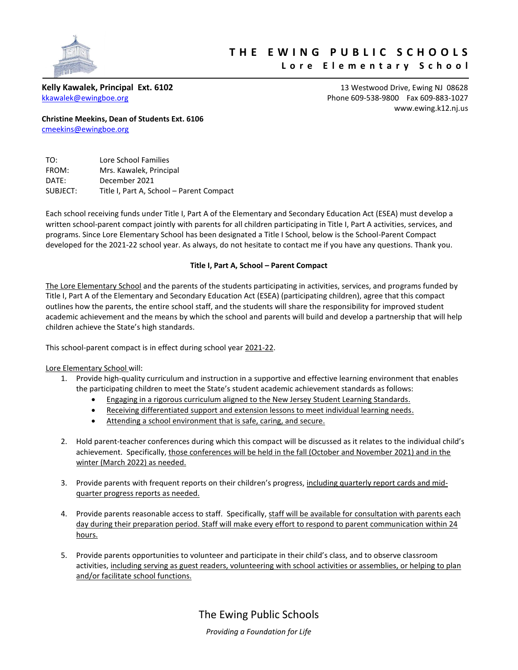

# **T H E E W I N G P U B L I C S C H O O L S**

# **L o r e E l e m e n t a r y S c h o o l**

**Kelly Kawalek, Principal Ext. 6102** 13 Westwood Drive, Ewing NJ 08628 [kkawalek@ewingboe.org](mailto:kkawalek@ewingboe.org) Phone 609-538-9800 Fax 609-883-1027 [www.ewing.k12.nj.us](http://www.ewing.k12.nj.us/)

**Christine Meekins, Dean of Students Ext. 6106** [cmeekins@ewingboe.org](mailto:cmeekins@ewingboe.org)

| TO:      | Lore School Families                     |
|----------|------------------------------------------|
| FROM:    | Mrs. Kawalek, Principal                  |
| DATE:    | December 2021                            |
| SUBJECT: | Title I, Part A, School - Parent Compact |

Each school receiving funds under Title I, Part A of the Elementary and Secondary Education Act (ESEA) must develop a written school-parent compact jointly with parents for all children participating in Title I, Part A activities, services, and programs. Since Lore Elementary School has been designated a Title I School, below is the School-Parent Compact developed for the 2021-22 school year. As always, do not hesitate to contact me if you have any questions. Thank you.

# **Title I, Part A, School – Parent Compact**

The Lore Elementary School and the parents of the students participating in activities, services, and programs funded by Title I, Part A of the Elementary and Secondary Education Act (ESEA) (participating children), agree that this compact outlines how the parents, the entire school staff, and the students will share the responsibility for improved student academic achievement and the means by which the school and parents will build and develop a partnership that will help children achieve the State's high standards.

This school-parent compact is in effect during school year 2021-22.

# Lore Elementary School will:

- 1. Provide high-quality curriculum and instruction in a supportive and effective learning environment that enables the participating children to meet the State's student academic achievement standards as follows:
	- **Engaging in a rigorous curriculum aligned to the New Jersey Student Learning Standards.**
	- Receiving differentiated support and extension lessons to meet individual learning needs.
	- Attending a school environment that is safe, caring, and secure.
- 2. Hold parent-teacher conferences during which this compact will be discussed as it relates to the individual child's achievement. Specifically, those conferences will be held in the fall (October and November 2021) and in the winter (March 2022) as needed.
- 3. Provide parents with frequent reports on their children's progress, including quarterly report cards and midquarter progress reports as needed.
- 4. Provide parents reasonable access to staff. Specifically, staff will be available for consultation with parents each day during their preparation period. Staff will make every effort to respond to parent communication within 24 hours.
- 5. Provide parents opportunities to volunteer and participate in their child's class, and to observe classroom activities, including serving as guest readers, volunteering with school activities or assemblies, or helping to plan and/or facilitate school functions.

The Ewing Public Schools *Providing a Foundation for Life*